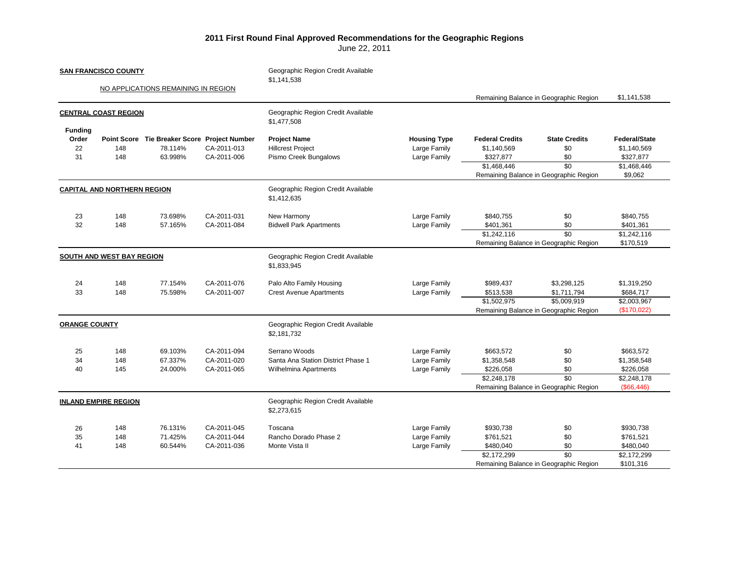## **2011 First Round Final Approved Recommendations for the Geographic Regions**

June 22, 2011

| <b>SAN FRANCISCO COUNTY</b><br>NO APPLICATIONS REMAINING IN REGION<br><b>CENTRAL COAST REGION</b> |                   |                                                                    |                                           | Geographic Region Credit Available<br>\$1,141,538                                   |                                                     | Remaining Balance in Geographic Region                            |                                                                                                 | \$1,141,538                                                         |
|---------------------------------------------------------------------------------------------------|-------------------|--------------------------------------------------------------------|-------------------------------------------|-------------------------------------------------------------------------------------|-----------------------------------------------------|-------------------------------------------------------------------|-------------------------------------------------------------------------------------------------|---------------------------------------------------------------------|
|                                                                                                   |                   |                                                                    |                                           |                                                                                     |                                                     |                                                                   |                                                                                                 |                                                                     |
|                                                                                                   |                   |                                                                    |                                           | Geographic Region Credit Available<br>\$1,477,508                                   |                                                     |                                                                   |                                                                                                 |                                                                     |
| <b>Funding</b><br>Order<br>22<br>31                                                               | 148<br>148        | Point Score Tie Breaker Score Project Number<br>78.114%<br>63.998% | CA-2011-013<br>CA-2011-006                | <b>Project Name</b><br><b>Hillcrest Project</b><br>Pismo Creek Bungalows            | <b>Housing Type</b><br>Large Family<br>Large Family | <b>Federal Credits</b><br>\$1,140,569<br>\$327,877<br>\$1,468,446 | <b>State Credits</b><br>\$0<br>\$0<br>$\overline{50}$<br>Remaining Balance in Geographic Region | Federal/State<br>\$1,140,569<br>\$327,877<br>\$1,468,446<br>\$9,062 |
| <b>CAPITAL AND NORTHERN REGION</b>                                                                |                   |                                                                    |                                           | Geographic Region Credit Available<br>\$1,412,635                                   |                                                     |                                                                   |                                                                                                 |                                                                     |
| 23<br>32                                                                                          | 148<br>148        | 73.698%<br>57.165%                                                 | CA-2011-031<br>CA-2011-084                | New Harmony<br><b>Bidwell Park Apartments</b>                                       | Large Family<br>Large Family                        | \$840,755<br>\$401,361<br>\$1.242.116                             | \$0<br>\$0<br>$\overline{50}$<br>Remaining Balance in Geographic Region                         | \$840,755<br>\$401,361<br>\$1,242,116<br>\$170,519                  |
| SOUTH AND WEST BAY REGION                                                                         |                   |                                                                    |                                           | Geographic Region Credit Available<br>\$1,833,945                                   |                                                     |                                                                   |                                                                                                 |                                                                     |
| 24<br>33                                                                                          | 148<br>148        | 77.154%<br>75.598%                                                 | CA-2011-076<br>CA-2011-007                | Palo Alto Family Housing<br><b>Crest Avenue Apartments</b>                          | Large Family<br>Large Family                        | \$989,437<br>\$513,538<br>\$1,502,975                             | \$3,298,125<br>\$1,711,794<br>\$5,009,919<br>Remaining Balance in Geographic Region             | \$1.319.250<br>\$684,717<br>\$2,003,967<br>(\$170,022)              |
| <b>ORANGE COUNTY</b>                                                                              |                   |                                                                    |                                           | Geographic Region Credit Available<br>\$2,181,732                                   |                                                     |                                                                   |                                                                                                 |                                                                     |
| 25<br>34<br>40                                                                                    | 148<br>148<br>145 | 69.103%<br>67.337%<br>24.000%                                      | CA-2011-094<br>CA-2011-020<br>CA-2011-065 | Serrano Woods<br>Santa Ana Station District Phase 1<br><b>Wilhelmina Apartments</b> | Large Family<br>Large Family<br>Large Family        | \$663,572<br>\$1,358,548<br>\$226,058<br>\$2,248,178              | \$0<br>\$0<br>\$0<br>$\overline{30}$<br>Remaining Balance in Geographic Region                  | \$663,572<br>\$1,358,548<br>\$226,058<br>\$2,248,178<br>(\$66,446)  |
| <b>INLAND EMPIRE REGION</b>                                                                       |                   |                                                                    |                                           | Geographic Region Credit Available<br>\$2,273,615                                   |                                                     |                                                                   |                                                                                                 |                                                                     |
| 26<br>35<br>41                                                                                    | 148<br>148<br>148 | 76.131%<br>71.425%<br>60.544%                                      | CA-2011-045<br>CA-2011-044<br>CA-2011-036 | Toscana<br>Rancho Dorado Phase 2<br>Monte Vista II                                  | Large Family<br>Large Family<br>Large Family        | \$930,738<br>\$761,521<br>\$480,040<br>\$2,172,299                | \$0<br>\$0<br>\$0<br>\$0<br>Remaining Balance in Geographic Region                              | \$930,738<br>\$761,521<br>\$480,040<br>\$2,172,299<br>\$101,316     |